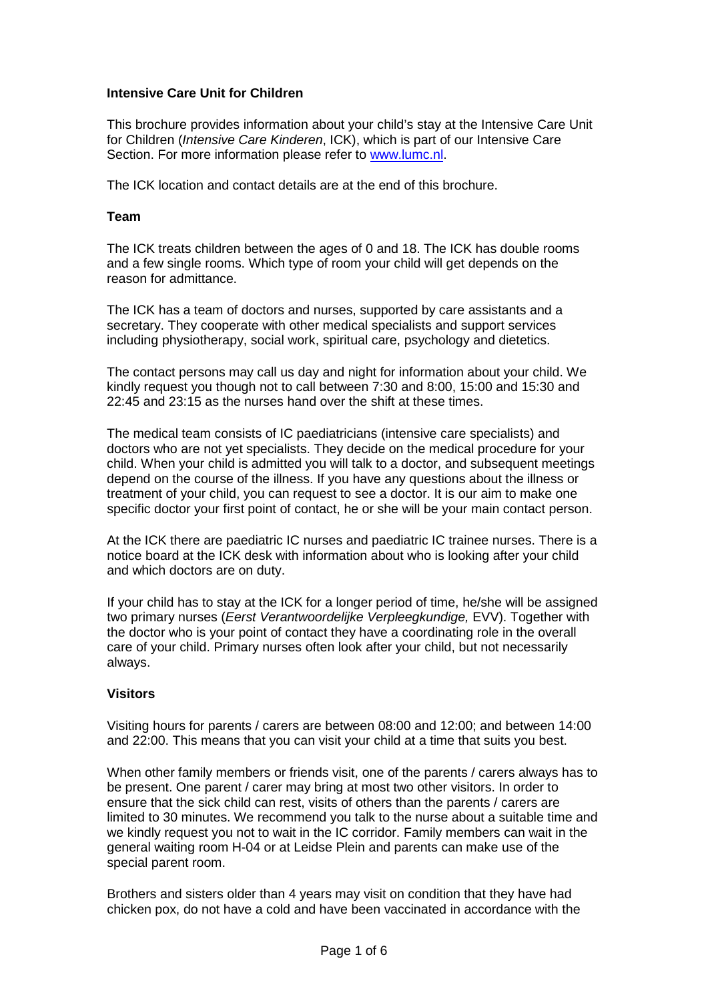## **Intensive Care Unit for Children**

This brochure provides information about your child's stay at the Intensive Care Unit for Children (*Intensive Care Kinderen*, ICK), which is part of our Intensive Care Section. For more information please refer to [www.lumc.nl.](http://www.lumc.nl/)

The ICK location and contact details are at the end of this brochure.

#### **Team**

The ICK treats children between the ages of 0 and 18. The ICK has double rooms and a few single rooms. Which type of room your child will get depends on the reason for admittance.

The ICK has a team of doctors and nurses, supported by care assistants and a secretary. They cooperate with other medical specialists and support services including physiotherapy, social work, spiritual care, psychology and dietetics.

The contact persons may call us day and night for information about your child. We kindly request you though not to call between 7:30 and 8:00, 15:00 and 15:30 and 22:45 and 23:15 as the nurses hand over the shift at these times.

The medical team consists of IC paediatricians (intensive care specialists) and doctors who are not yet specialists. They decide on the medical procedure for your child. When your child is admitted you will talk to a doctor, and subsequent meetings depend on the course of the illness. If you have any questions about the illness or treatment of your child, you can request to see a doctor. It is our aim to make one specific doctor your first point of contact, he or she will be your main contact person.

At the ICK there are paediatric IC nurses and paediatric IC trainee nurses. There is a notice board at the ICK desk with information about who is looking after your child and which doctors are on duty.

If your child has to stay at the ICK for a longer period of time, he/she will be assigned two primary nurses (*Eerst Verantwoordelijke Verpleegkundige,* EVV). Together with the doctor who is your point of contact they have a coordinating role in the overall care of your child. Primary nurses often look after your child, but not necessarily always.

## **Visitors**

Visiting hours for parents / carers are between 08:00 and 12:00; and between 14:00 and 22:00. This means that you can visit your child at a time that suits you best.

When other family members or friends visit, one of the parents / carers always has to be present. One parent / carer may bring at most two other visitors. In order to ensure that the sick child can rest, visits of others than the parents / carers are limited to 30 minutes. We recommend you talk to the nurse about a suitable time and we kindly request you not to wait in the IC corridor. Family members can wait in the general waiting room H-04 or at Leidse Plein and parents can make use of the special parent room.

Brothers and sisters older than 4 years may visit on condition that they have had chicken pox, do not have a cold and have been vaccinated in accordance with the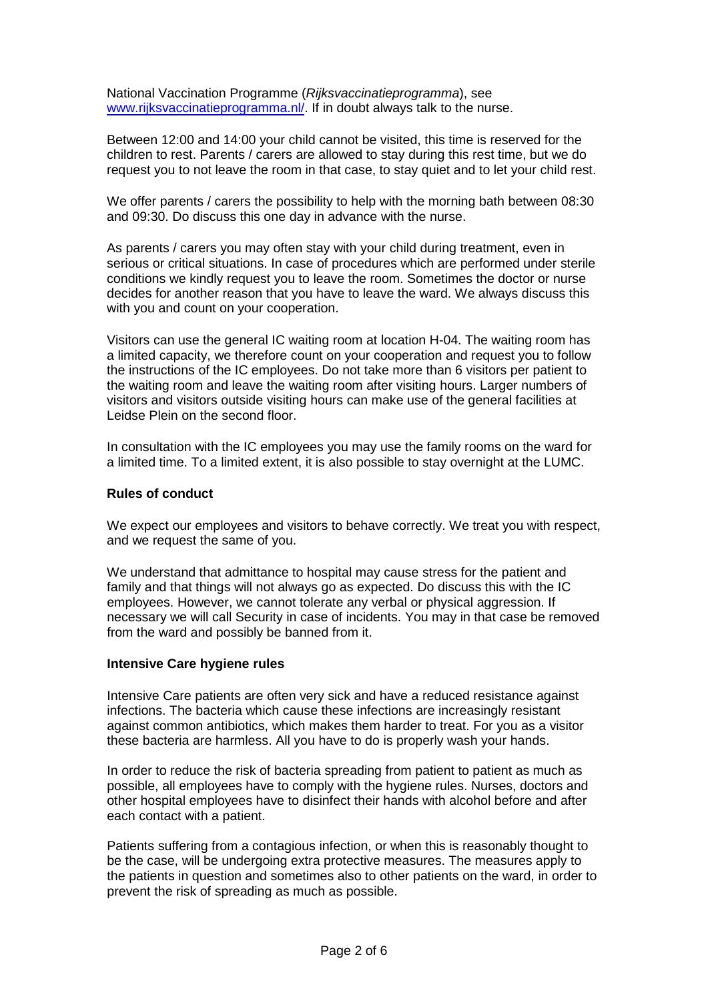National Vaccination Programme (*Rijksvaccinatieprogramma*), see [www.rijksvaccinatieprogramma.nl/.](http://www.rijksvaccinatieprogramma.nl/) If in doubt always talk to the nurse.

Between 12:00 and 14:00 your child cannot be visited, this time is reserved for the children to rest. Parents / carers are allowed to stay during this rest time, but we do request you to not leave the room in that case, to stay quiet and to let your child rest.

We offer parents / carers the possibility to help with the morning bath between 08:30 and 09:30. Do discuss this one day in advance with the nurse.

As parents / carers you may often stay with your child during treatment, even in serious or critical situations. In case of procedures which are performed under sterile conditions we kindly request you to leave the room. Sometimes the doctor or nurse decides for another reason that you have to leave the ward. We always discuss this with you and count on your cooperation.

Visitors can use the general IC waiting room at location H-04. The waiting room has a limited capacity, we therefore count on your cooperation and request you to follow the instructions of the IC employees. Do not take more than 6 visitors per patient to the waiting room and leave the waiting room after visiting hours. Larger numbers of visitors and visitors outside visiting hours can make use of the general facilities at Leidse Plein on the second floor.

In consultation with the IC employees you may use the family rooms on the ward for a limited time. To a limited extent, it is also possible to stay overnight at the LUMC.

#### **Rules of conduct**

We expect our employees and visitors to behave correctly. We treat you with respect, and we request the same of you.

We understand that admittance to hospital may cause stress for the patient and family and that things will not always go as expected. Do discuss this with the IC employees. However, we cannot tolerate any verbal or physical aggression. If necessary we will call Security in case of incidents. You may in that case be removed from the ward and possibly be banned from it.

#### **Intensive Care hygiene rules**

Intensive Care patients are often very sick and have a reduced resistance against infections. The bacteria which cause these infections are increasingly resistant against common antibiotics, which makes them harder to treat. For you as a visitor these bacteria are harmless. All you have to do is properly wash your hands.

In order to reduce the risk of bacteria spreading from patient to patient as much as possible, all employees have to comply with the hygiene rules. Nurses, doctors and other hospital employees have to disinfect their hands with alcohol before and after each contact with a patient.

Patients suffering from a contagious infection, or when this is reasonably thought to be the case, will be undergoing extra protective measures. The measures apply to the patients in question and sometimes also to other patients on the ward, in order to prevent the risk of spreading as much as possible.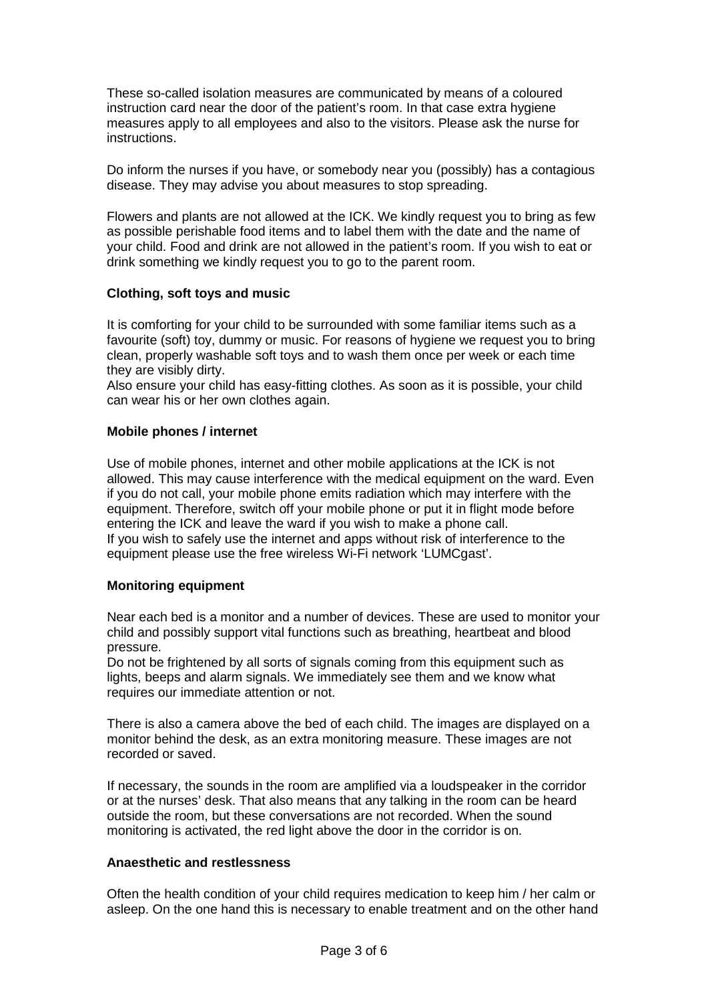These so-called isolation measures are communicated by means of a coloured instruction card near the door of the patient's room. In that case extra hygiene measures apply to all employees and also to the visitors. Please ask the nurse for instructions.

Do inform the nurses if you have, or somebody near you (possibly) has a contagious disease. They may advise you about measures to stop spreading.

Flowers and plants are not allowed at the ICK. We kindly request you to bring as few as possible perishable food items and to label them with the date and the name of your child. Food and drink are not allowed in the patient's room. If you wish to eat or drink something we kindly request you to go to the parent room.

#### **Clothing, soft toys and music**

It is comforting for your child to be surrounded with some familiar items such as a favourite (soft) toy, dummy or music. For reasons of hygiene we request you to bring clean, properly washable soft toys and to wash them once per week or each time they are visibly dirty.

Also ensure your child has easy-fitting clothes. As soon as it is possible, your child can wear his or her own clothes again.

#### **Mobile phones / internet**

Use of mobile phones, internet and other mobile applications at the ICK is not allowed. This may cause interference with the medical equipment on the ward. Even if you do not call, your mobile phone emits radiation which may interfere with the equipment. Therefore, switch off your mobile phone or put it in flight mode before entering the ICK and leave the ward if you wish to make a phone call. If you wish to safely use the internet and apps without risk of interference to the equipment please use the free wireless Wi-Fi network 'LUMCgast'.

#### **Monitoring equipment**

Near each bed is a monitor and a number of devices. These are used to monitor your child and possibly support vital functions such as breathing, heartbeat and blood pressure.

Do not be frightened by all sorts of signals coming from this equipment such as lights, beeps and alarm signals. We immediately see them and we know what requires our immediate attention or not.

There is also a camera above the bed of each child. The images are displayed on a monitor behind the desk, as an extra monitoring measure. These images are not recorded or saved.

If necessary, the sounds in the room are amplified via a loudspeaker in the corridor or at the nurses' desk. That also means that any talking in the room can be heard outside the room, but these conversations are not recorded. When the sound monitoring is activated, the red light above the door in the corridor is on.

#### **Anaesthetic and restlessness**

Often the health condition of your child requires medication to keep him / her calm or asleep. On the one hand this is necessary to enable treatment and on the other hand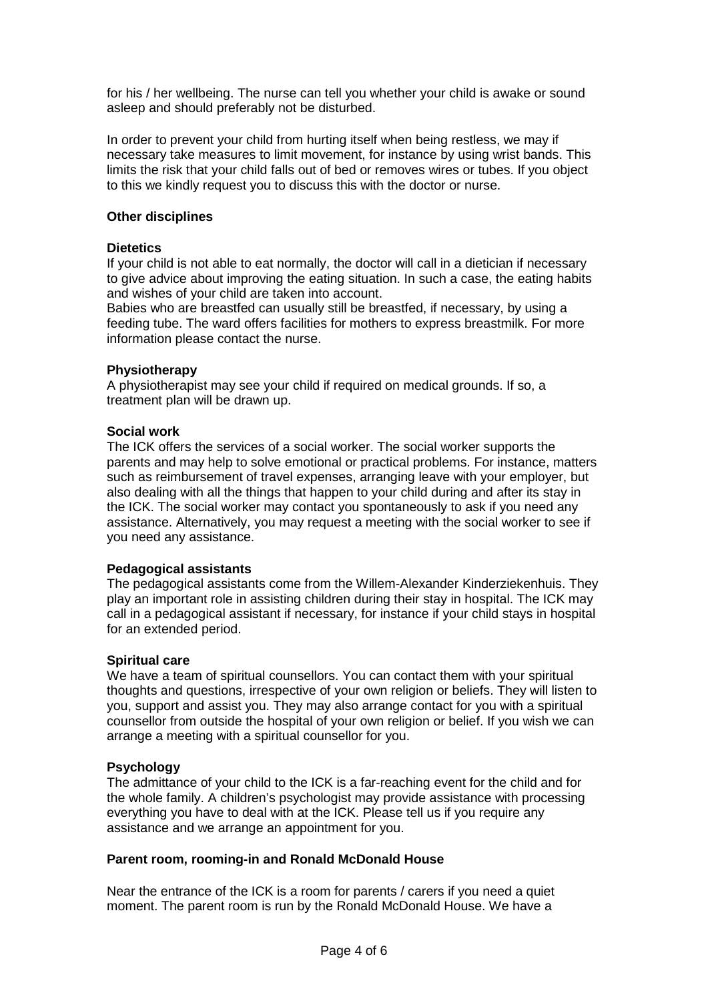for his / her wellbeing. The nurse can tell you whether your child is awake or sound asleep and should preferably not be disturbed.

In order to prevent your child from hurting itself when being restless, we may if necessary take measures to limit movement, for instance by using wrist bands. This limits the risk that your child falls out of bed or removes wires or tubes. If you object to this we kindly request you to discuss this with the doctor or nurse.

## **Other disciplines**

#### **Dietetics**

If your child is not able to eat normally, the doctor will call in a dietician if necessary to give advice about improving the eating situation. In such a case, the eating habits and wishes of your child are taken into account.

Babies who are breastfed can usually still be breastfed, if necessary, by using a feeding tube. The ward offers facilities for mothers to express breastmilk. For more information please contact the nurse.

#### **Physiotherapy**

A physiotherapist may see your child if required on medical grounds. If so, a treatment plan will be drawn up.

#### **Social work**

The ICK offers the services of a social worker. The social worker supports the parents and may help to solve emotional or practical problems. For instance, matters such as reimbursement of travel expenses, arranging leave with your employer, but also dealing with all the things that happen to your child during and after its stay in the ICK. The social worker may contact you spontaneously to ask if you need any assistance. Alternatively, you may request a meeting with the social worker to see if you need any assistance.

#### **Pedagogical assistants**

The pedagogical assistants come from the Willem-Alexander Kinderziekenhuis. They play an important role in assisting children during their stay in hospital. The ICK may call in a pedagogical assistant if necessary, for instance if your child stays in hospital for an extended period.

#### **Spiritual care**

We have a team of spiritual counsellors. You can contact them with your spiritual thoughts and questions, irrespective of your own religion or beliefs. They will listen to you, support and assist you. They may also arrange contact for you with a spiritual counsellor from outside the hospital of your own religion or belief. If you wish we can arrange a meeting with a spiritual counsellor for you.

#### **Psychology**

The admittance of your child to the ICK is a far-reaching event for the child and for the whole family. A children's psychologist may provide assistance with processing everything you have to deal with at the ICK. Please tell us if you require any assistance and we arrange an appointment for you.

## **Parent room, rooming-in and Ronald McDonald House**

Near the entrance of the ICK is a room for parents / carers if you need a quiet moment. The parent room is run by the Ronald McDonald House. We have a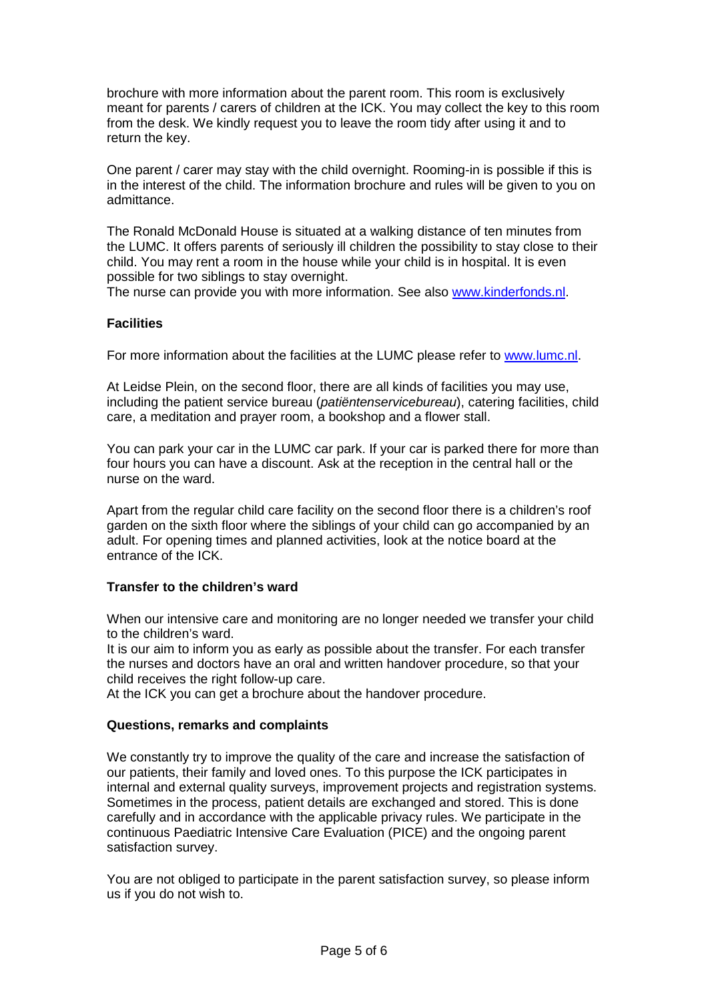brochure with more information about the parent room. This room is exclusively meant for parents / carers of children at the ICK. You may collect the key to this room from the desk. We kindly request you to leave the room tidy after using it and to return the key.

One parent / carer may stay with the child overnight. Rooming-in is possible if this is in the interest of the child. The information brochure and rules will be given to you on admittance.

The Ronald McDonald House is situated at a walking distance of ten minutes from the LUMC. It offers parents of seriously ill children the possibility to stay close to their child. You may rent a room in the house while your child is in hospital. It is even possible for two siblings to stay overnight.

The nurse can provide you with more information. See also [www.kinderfonds.nl.](http://www.kinderfonds.nl/)

## **Facilities**

For more information about the facilities at the LUMC please refer to [www.lumc.nl.](http://www.lumc.nl/)

At Leidse Plein, on the second floor, there are all kinds of facilities you may use, including the patient service bureau (*patiëntenservicebureau*), catering facilities, child care, a meditation and prayer room, a bookshop and a flower stall.

You can park your car in the LUMC car park. If your car is parked there for more than four hours you can have a discount. Ask at the reception in the central hall or the nurse on the ward.

Apart from the regular child care facility on the second floor there is a children's roof garden on the sixth floor where the siblings of your child can go accompanied by an adult. For opening times and planned activities, look at the notice board at the entrance of the ICK.

#### **Transfer to the children's ward**

When our intensive care and monitoring are no longer needed we transfer your child to the children's ward.

It is our aim to inform you as early as possible about the transfer. For each transfer the nurses and doctors have an oral and written handover procedure, so that your child receives the right follow-up care.

At the ICK you can get a brochure about the handover procedure.

#### **Questions, remarks and complaints**

We constantly try to improve the quality of the care and increase the satisfaction of our patients, their family and loved ones. To this purpose the ICK participates in internal and external quality surveys, improvement projects and registration systems. Sometimes in the process, patient details are exchanged and stored. This is done carefully and in accordance with the applicable privacy rules. We participate in the continuous Paediatric Intensive Care Evaluation (PICE) and the ongoing parent satisfaction survey.

You are not obliged to participate in the parent satisfaction survey, so please inform us if you do not wish to.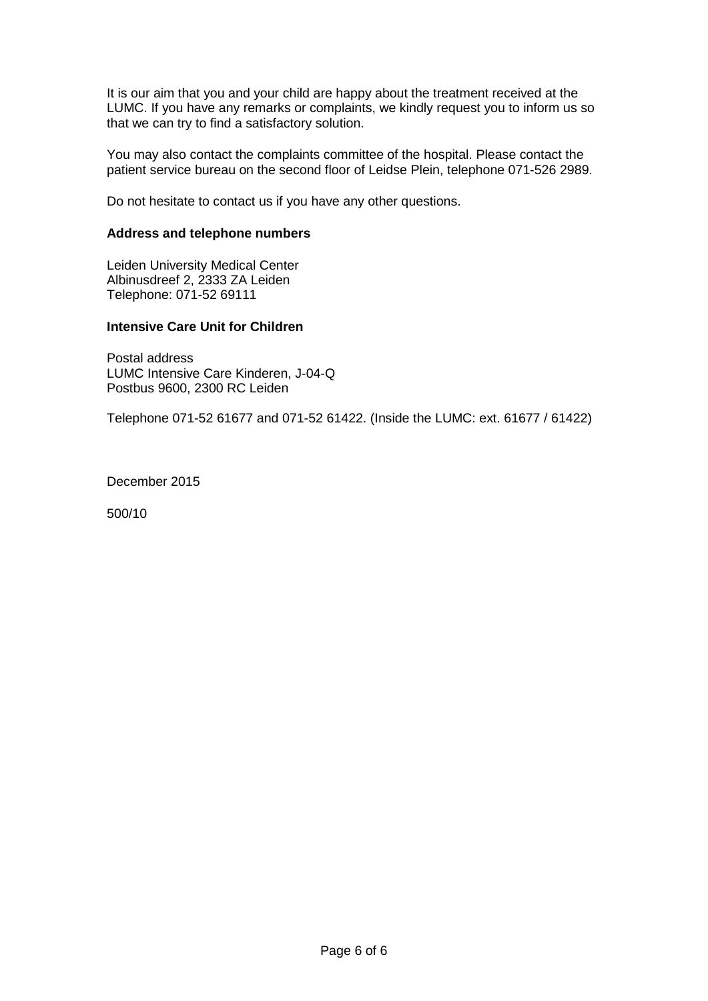It is our aim that you and your child are happy about the treatment received at the LUMC. If you have any remarks or complaints, we kindly request you to inform us so that we can try to find a satisfactory solution.

You may also contact the complaints committee of the hospital. Please contact the patient service bureau on the second floor of Leidse Plein, telephone 071-526 2989.

Do not hesitate to contact us if you have any other questions.

#### **Address and telephone numbers**

Leiden University Medical Center Albinusdreef 2, 2333 ZA Leiden Telephone: 071-52 69111

#### **Intensive Care Unit for Children**

Postal address LUMC Intensive Care Kinderen, J-04-Q Postbus 9600, 2300 RC Leiden

Telephone 071-52 61677 and 071-52 61422. (Inside the LUMC: ext. 61677 / 61422)

December 2015

500/10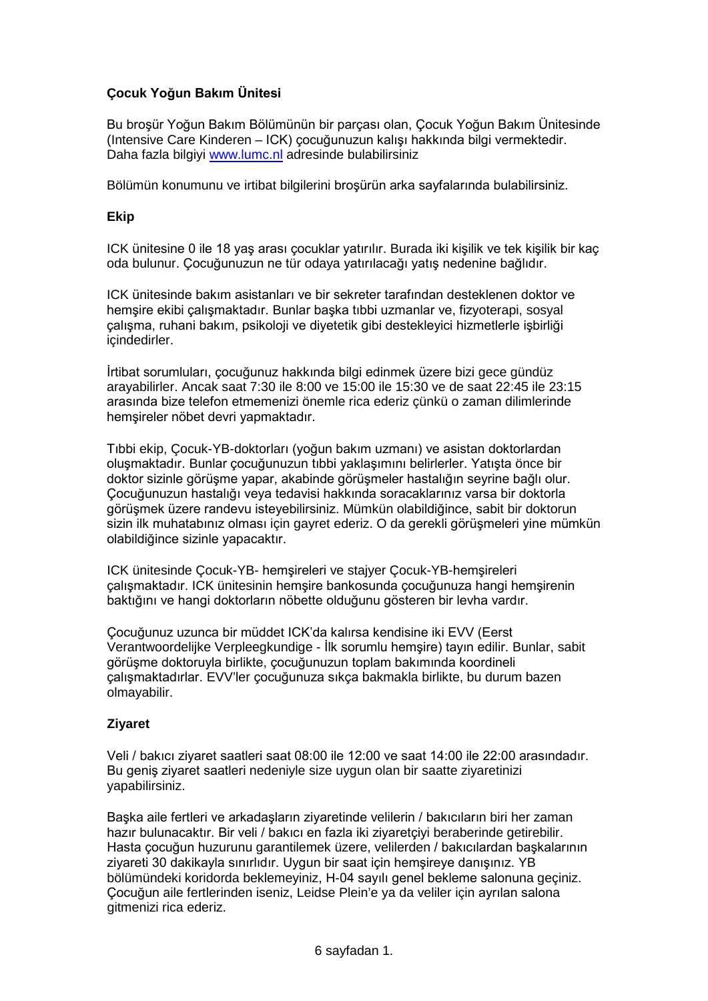# **Çocuk Yoğun Bakım Ünitesi**

Bu broşür Yoğun Bakım Bölümünün bir parçası olan, Çocuk Yoğun Bakım Ünitesinde (Intensive Care Kinderen – ICK) çocuğunuzun kalışı hakkında bilgi vermektedir. Daha fazla bilgiyi [www.lumc.nl](http://www.lumc.nl/) adresinde bulabilirsiniz

Bölümün konumunu ve irtibat bilgilerini broşürün arka sayfalarında bulabilirsiniz.

## **Ekip**

ICK ünitesine 0 ile 18 yaş arası çocuklar yatırılır. Burada iki kişilik ve tek kişilik bir kaç oda bulunur. Çocuğunuzun ne tür odaya yatırılacağı yatış nedenine bağlıdır.

ICK ünitesinde bakım asistanları ve bir sekreter tarafından desteklenen doktor ve hemşire ekibi çalışmaktadır. Bunlar başka tıbbi uzmanlar ve, fizyoterapi, sosyal çalışma, ruhani bakım, psikoloji ve diyetetik gibi destekleyici hizmetlerle işbirliği içindedirler.

İrtibat sorumluları, çocuğunuz hakkında bilgi edinmek üzere bizi gece gündüz arayabilirler. Ancak saat 7:30 ile 8:00 ve 15:00 ile 15:30 ve de saat 22:45 ile 23:15 arasında bize telefon etmemenizi önemle rica ederiz çünkü o zaman dilimlerinde hemşireler nöbet devri yapmaktadır.

Tıbbi ekip, Çocuk-YB-doktorları (yoğun bakım uzmanı) ve asistan doktorlardan oluşmaktadır. Bunlar çocuğunuzun tıbbi yaklaşımını belirlerler. Yatışta önce bir doktor sizinle görüşme yapar, akabinde görüşmeler hastalığın seyrine bağlı olur. Çocuğunuzun hastalığı veya tedavisi hakkında soracaklarınız varsa bir doktorla görüşmek üzere randevu isteyebilirsiniz. Mümkün olabildiğince, sabit bir doktorun sizin ilk muhatabınız olması için gayret ederiz. O da gerekli görüşmeleri yine mümkün olabildiğince sizinle yapacaktır.

ICK ünitesinde Çocuk-YB- hemşireleri ve stajyer Çocuk-YB-hemşireleri çalışmaktadır. ICK ünitesinin hemşire bankosunda çocuğunuza hangi hemşirenin baktığını ve hangi doktorların nöbette olduğunu gösteren bir levha vardır.

Çocuğunuz uzunca bir müddet ICK'da kalırsa kendisine iki EVV (Eerst Verantwoordelijke Verpleegkundige - İlk sorumlu hemşire) tayın edilir. Bunlar, sabit görüşme doktoruyla birlikte, çocuğunuzun toplam bakımında koordineli çalışmaktadırlar. EVV'ler çocuğunuza sıkça bakmakla birlikte, bu durum bazen olmayabilir.

## **Ziyaret**

Veli / bakıcı ziyaret saatleri saat 08:00 ile 12:00 ve saat 14:00 ile 22:00 arasındadır. Bu geniş ziyaret saatleri nedeniyle size uygun olan bir saatte ziyaretinizi yapabilirsiniz.

Başka aile fertleri ve arkadaşların ziyaretinde velilerin / bakıcıların biri her zaman hazır bulunacaktır. Bir veli / bakıcı en fazla iki ziyaretçiyi beraberinde getirebilir. Hasta çocuğun huzurunu garantilemek üzere, velilerden / bakıcılardan başkalarının ziyareti 30 dakikayla sınırlıdır. Uygun bir saat için hemşireye danışınız. YB bölümündeki koridorda beklemeyiniz, H-04 sayılı genel bekleme salonuna geçiniz. Çocuğun aile fertlerinden iseniz, Leidse Plein'e ya da veliler için ayrılan salona gitmenizi rica ederiz.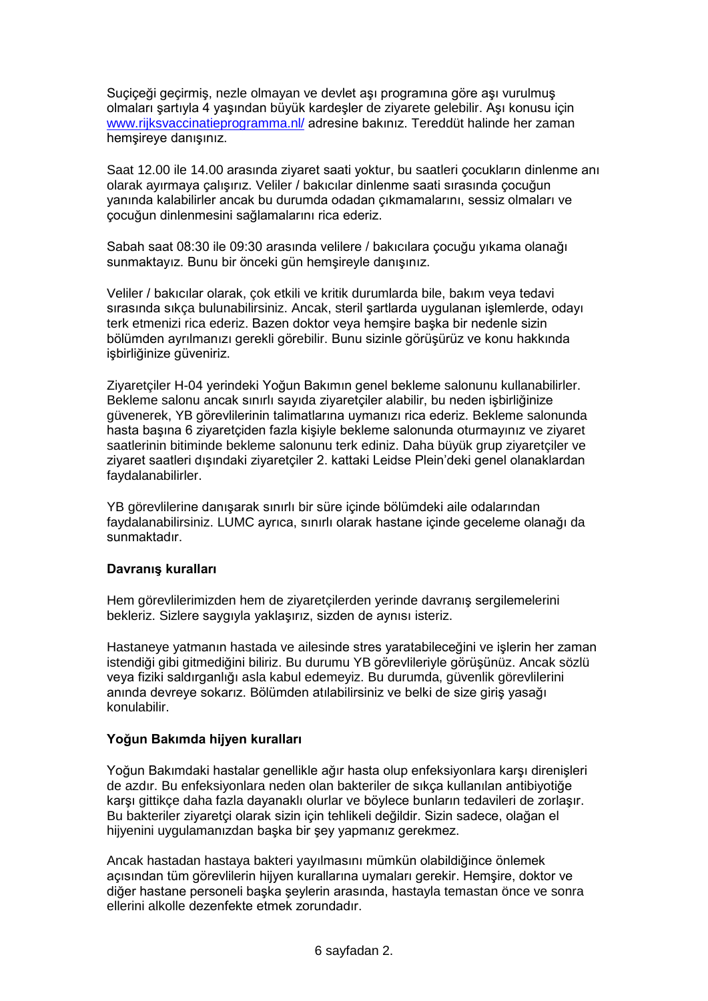Suçiçeği geçirmiş, nezle olmayan ve devlet aşı programına göre aşı vurulmuş olmaları şartıyla 4 yaşından büyük kardeşler de ziyarete gelebilir. Aşı konusu için [www.rijksvaccinatieprogramma.nl/](http://www.rijksvaccinatieprogramma.nl/) adresine bakınız. Tereddüt halinde her zaman hemşireye danışınız.

Saat 12.00 ile 14.00 arasında ziyaret saati yoktur, bu saatleri çocukların dinlenme anı olarak ayırmaya çalışırız. Veliler / bakıcılar dinlenme saati sırasında çocuğun yanında kalabilirler ancak bu durumda odadan çıkmamalarını, sessiz olmaları ve çocuğun dinlenmesini sağlamalarını rica ederiz.

Sabah saat 08:30 ile 09:30 arasında velilere / bakıcılara çocuğu yıkama olanağı sunmaktayız. Bunu bir önceki gün hemşireyle danışınız.

Veliler / bakıcılar olarak, çok etkili ve kritik durumlarda bile, bakım veya tedavi sırasında sıkça bulunabilirsiniz. Ancak, steril şartlarda uygulanan işlemlerde, odayı terk etmenizi rica ederiz. Bazen doktor veya hemşire başka bir nedenle sizin bölümden ayrılmanızı gerekli görebilir. Bunu sizinle görüşürüz ve konu hakkında işbirliğinize güveniriz.

Ziyaretçiler H-04 yerindeki Yoğun Bakımın genel bekleme salonunu kullanabilirler. Bekleme salonu ancak sınırlı sayıda ziyaretçiler alabilir, bu neden işbirliğinize güvenerek, YB görevlilerinin talimatlarına uymanızı rica ederiz. Bekleme salonunda hasta başına 6 ziyaretçiden fazla kişiyle bekleme salonunda oturmayınız ve ziyaret saatlerinin bitiminde bekleme salonunu terk ediniz. Daha büyük grup ziyaretçiler ve ziyaret saatleri dışındaki ziyaretçiler 2. kattaki Leidse Plein'deki genel olanaklardan faydalanabilirler.

YB görevlilerine danışarak sınırlı bir süre içinde bölümdeki aile odalarından faydalanabilirsiniz. LUMC ayrıca, sınırlı olarak hastane içinde geceleme olanağı da sunmaktadır.

## **Davranış kuralları**

Hem görevlilerimizden hem de ziyaretçilerden yerinde davranış sergilemelerini bekleriz. Sizlere saygıyla yaklaşırız, sizden de aynısı isteriz.

Hastaneye yatmanın hastada ve ailesinde stres yaratabileceğini ve işlerin her zaman istendiği gibi gitmediğini biliriz. Bu durumu YB görevlileriyle görüşünüz. Ancak sözlü veya fiziki saldırganlığı asla kabul edemeyiz. Bu durumda, güvenlik görevlilerini anında devreye sokarız. Bölümden atılabilirsiniz ve belki de size giriş yasağı konulabilir.

## **Yoğun Bakımda hijyen kuralları**

Yoğun Bakımdaki hastalar genellikle ağır hasta olup enfeksiyonlara karşı direnişleri de azdır. Bu enfeksiyonlara neden olan bakteriler de sıkça kullanılan antibiyotiğe karşı gittikçe daha fazla dayanaklı olurlar ve böylece bunların tedavileri de zorlaşır. Bu bakteriler ziyaretçi olarak sizin için tehlikeli değildir. Sizin sadece, olağan el hijyenini uygulamanızdan başka bir şey yapmanız gerekmez.

Ancak hastadan hastaya bakteri yayılmasını mümkün olabildiğince önlemek açısından tüm görevlilerin hijyen kurallarına uymaları gerekir. Hemşire, doktor ve diğer hastane personeli başka şeylerin arasında, hastayla temastan önce ve sonra ellerini alkolle dezenfekte etmek zorundadır.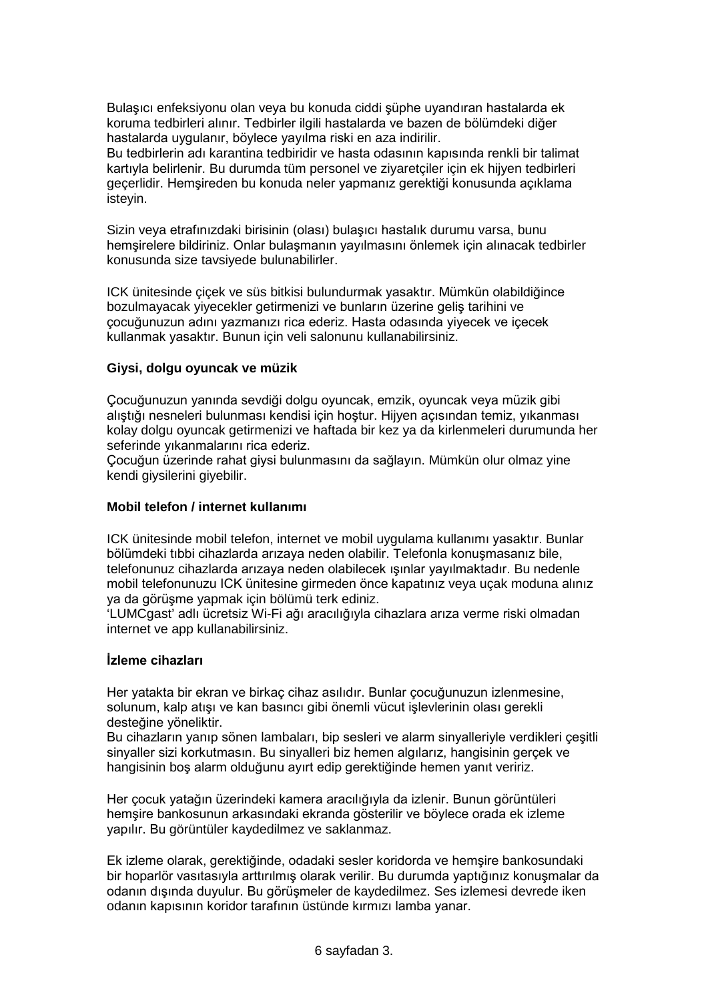Bulaşıcı enfeksiyonu olan veya bu konuda ciddi şüphe uyandıran hastalarda ek koruma tedbirleri alınır. Tedbirler ilgili hastalarda ve bazen de bölümdeki diğer hastalarda uygulanır, böylece yayılma riski en aza indirilir.

Bu tedbirlerin adı karantina tedbiridir ve hasta odasının kapısında renkli bir talimat kartıyla belirlenir. Bu durumda tüm personel ve ziyaretçiler için ek hijyen tedbirleri geçerlidir. Hemşireden bu konuda neler yapmanız gerektiği konusunda açıklama isteyin.

Sizin veya etrafınızdaki birisinin (olası) bulaşıcı hastalık durumu varsa, bunu hemşirelere bildiriniz. Onlar bulaşmanın yayılmasını önlemek için alınacak tedbirler konusunda size tavsiyede bulunabilirler.

ICK ünitesinde çiçek ve süs bitkisi bulundurmak yasaktır. Mümkün olabildiğince bozulmayacak yiyecekler getirmenizi ve bunların üzerine geliş tarihini ve çocuğunuzun adını yazmanızı rica ederiz. Hasta odasında yiyecek ve içecek kullanmak yasaktır. Bunun için veli salonunu kullanabilirsiniz.

## **Giysi, dolgu oyuncak ve müzik**

Çocuğunuzun yanında sevdiği dolgu oyuncak, emzik, oyuncak veya müzik gibi alıştığı nesneleri bulunması kendisi için hoştur. Hijyen açısından temiz, yıkanması kolay dolgu oyuncak getirmenizi ve haftada bir kez ya da kirlenmeleri durumunda her seferinde yıkanmalarını rica ederiz.

Çocuğun üzerinde rahat giysi bulunmasını da sağlayın. Mümkün olur olmaz yine kendi giysilerini giyebilir.

#### **Mobil telefon / internet kullanımı**

ICK ünitesinde mobil telefon, internet ve mobil uygulama kullanımı yasaktır. Bunlar bölümdeki tıbbi cihazlarda arızaya neden olabilir. Telefonla konuşmasanız bile, telefonunuz cihazlarda arızaya neden olabilecek ışınlar yayılmaktadır. Bu nedenle mobil telefonunuzu ICK ünitesine girmeden önce kapatınız veya uçak moduna alınız ya da görüşme yapmak için bölümü terk ediniz.

'LUMCgast' adlı ücretsiz Wi-Fi ağı aracılığıyla cihazlara arıza verme riski olmadan internet ve app kullanabilirsiniz.

#### **İzleme cihazları**

Her yatakta bir ekran ve birkaç cihaz asılıdır. Bunlar çocuğunuzun izlenmesine, solunum, kalp atışı ve kan basıncı gibi önemli vücut işlevlerinin olası gerekli desteğine yöneliktir.

Bu cihazların yanıp sönen lambaları, bip sesleri ve alarm sinyalleriyle verdikleri çeşitli sinyaller sizi korkutmasın. Bu sinyalleri biz hemen algılarız, hangisinin gerçek ve hangisinin boş alarm olduğunu ayırt edip gerektiğinde hemen yanıt veririz.

Her çocuk yatağın üzerindeki kamera aracılığıyla da izlenir. Bunun görüntüleri hemşire bankosunun arkasındaki ekranda gösterilir ve böylece orada ek izleme yapılır. Bu görüntüler kaydedilmez ve saklanmaz.

Ek izleme olarak, gerektiğinde, odadaki sesler koridorda ve hemşire bankosundaki bir hoparlör vasıtasıyla arttırılmış olarak verilir. Bu durumda yaptığınız konuşmalar da odanın dışında duyulur. Bu görüşmeler de kaydedilmez. Ses izlemesi devrede iken odanın kapısının koridor tarafının üstünde kırmızı lamba yanar.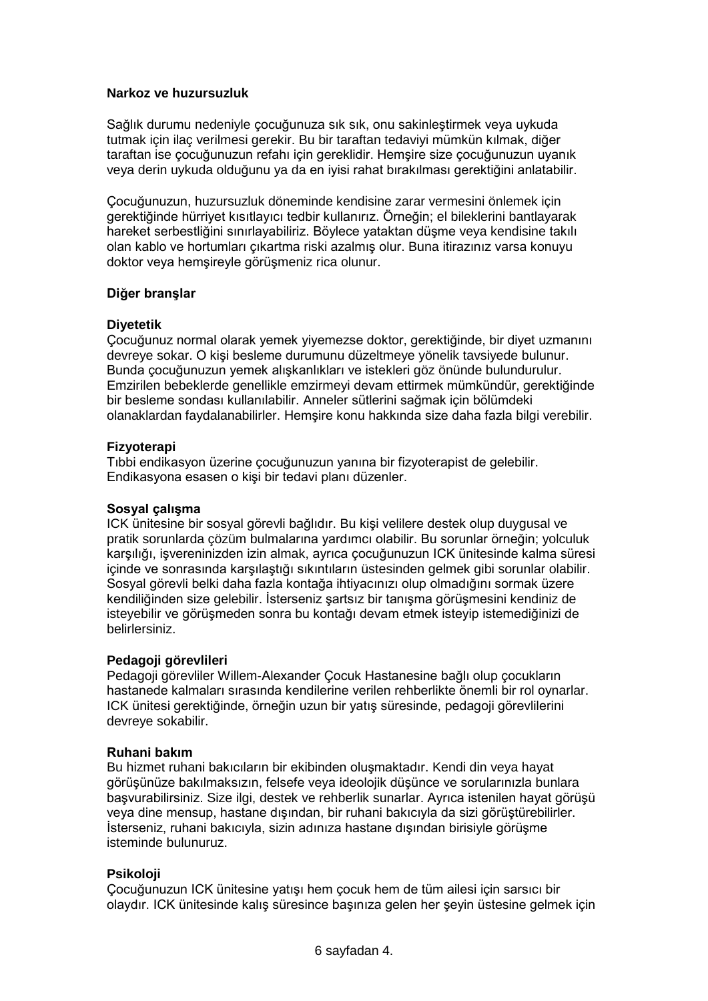### **Narkoz ve huzursuzluk**

Sağlık durumu nedeniyle çocuğunuza sık sık, onu sakinleştirmek veya uykuda tutmak için ilaç verilmesi gerekir. Bu bir taraftan tedaviyi mümkün kılmak, diğer taraftan ise çocuğunuzun refahı için gereklidir. Hemşire size çocuğunuzun uyanık veya derin uykuda olduğunu ya da en iyisi rahat bırakılması gerektiğini anlatabilir.

Çocuğunuzun, huzursuzluk döneminde kendisine zarar vermesini önlemek için gerektiğinde hürriyet kısıtlayıcı tedbir kullanırız. Örneğin; el bileklerini bantlayarak hareket serbestliğini sınırlayabiliriz. Böylece yataktan düşme veya kendisine takılı olan kablo ve hortumları çıkartma riski azalmış olur. Buna itirazınız varsa konuyu doktor veya hemşireyle görüşmeniz rica olunur.

#### **Diğer branşlar**

#### **Diyetetik**

Çocuğunuz normal olarak yemek yiyemezse doktor, gerektiğinde, bir diyet uzmanını devreye sokar. O kişi besleme durumunu düzeltmeye yönelik tavsiyede bulunur. Bunda çocuğunuzun yemek alışkanlıkları ve istekleri göz önünde bulundurulur. Emzirilen bebeklerde genellikle emzirmeyi devam ettirmek mümkündür, gerektiğinde bir besleme sondası kullanılabilir. Anneler sütlerini sağmak için bölümdeki olanaklardan faydalanabilirler. Hemşire konu hakkında size daha fazla bilgi verebilir.

#### **Fizyoterapi**

Tıbbi endikasyon üzerine çocuğunuzun yanına bir fizyoterapist de gelebilir. Endikasyona esasen o kişi bir tedavi planı düzenler.

## **Sosyal çalışma**

ICK ünitesine bir sosyal görevli bağlıdır. Bu kişi velilere destek olup duygusal ve pratik sorunlarda çözüm bulmalarına yardımcı olabilir. Bu sorunlar örneğin; yolculuk karşılığı, işvereninizden izin almak, ayrıca çocuğunuzun ICK ünitesinde kalma süresi içinde ve sonrasında karşılaştığı sıkıntıların üstesinden gelmek gibi sorunlar olabilir. Sosyal görevli belki daha fazla kontağa ihtiyacınızı olup olmadığını sormak üzere kendiliğinden size gelebilir. İsterseniz şartsız bir tanışma görüşmesini kendiniz de isteyebilir ve görüşmeden sonra bu kontağı devam etmek isteyip istemediğinizi de belirlersiniz.

## **Pedagoji görevlileri**

Pedagoji görevliler Willem-Alexander Çocuk Hastanesine bağlı olup çocukların hastanede kalmaları sırasında kendilerine verilen rehberlikte önemli bir rol oynarlar. ICK ünitesi gerektiğinde, örneğin uzun bir yatış süresinde, pedagoji görevlilerini devreye sokabilir.

#### **Ruhani bakım**

Bu hizmet ruhani bakıcıların bir ekibinden oluşmaktadır. Kendi din veya hayat görüşünüze bakılmaksızın, felsefe veya ideolojik düşünce ve sorularınızla bunlara başvurabilirsiniz. Size ilgi, destek ve rehberlik sunarlar. Ayrıca istenilen hayat görüşü veya dine mensup, hastane dışından, bir ruhani bakıcıyla da sizi görüştürebilirler. İsterseniz, ruhani bakıcıyla, sizin adınıza hastane dışından birisiyle görüşme isteminde bulunuruz.

## **Psikoloji**

Çocuğunuzun ICK ünitesine yatışı hem çocuk hem de tüm ailesi için sarsıcı bir olaydır. ICK ünitesinde kalış süresince başınıza gelen her şeyin üstesine gelmek için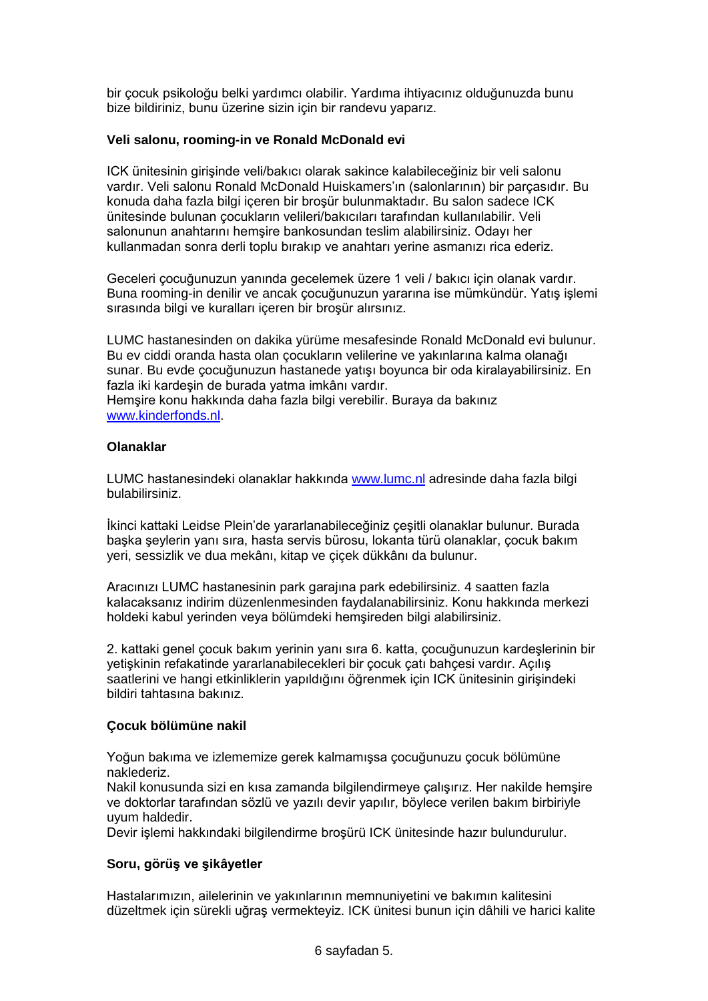bir çocuk psikoloğu belki yardımcı olabilir. Yardıma ihtiyacınız olduğunuzda bunu bize bildiriniz, bunu üzerine sizin için bir randevu yaparız.

## **Veli salonu, rooming-in ve Ronald McDonald evi**

ICK ünitesinin girişinde veli/bakıcı olarak sakince kalabileceğiniz bir veli salonu vardır. Veli salonu Ronald McDonald Huiskamers'ın (salonlarının) bir parçasıdır. Bu konuda daha fazla bilgi içeren bir broşür bulunmaktadır. Bu salon sadece ICK ünitesinde bulunan çocukların velileri/bakıcıları tarafından kullanılabilir. Veli salonunun anahtarını hemşire bankosundan teslim alabilirsiniz. Odayı her kullanmadan sonra derli toplu bırakıp ve anahtarı yerine asmanızı rica ederiz.

Geceleri çocuğunuzun yanında gecelemek üzere 1 veli / bakıcı için olanak vardır. Buna rooming-in denilir ve ancak çocuğunuzun yararına ise mümkündür. Yatış işlemi sırasında bilgi ve kuralları içeren bir broşür alırsınız.

LUMC hastanesinden on dakika yürüme mesafesinde Ronald McDonald evi bulunur. Bu ev ciddi oranda hasta olan çocukların velilerine ve yakınlarına kalma olanağı sunar. Bu evde çocuğunuzun hastanede yatışı boyunca bir oda kiralayabilirsiniz. En fazla iki kardeşin de burada yatma imkânı vardır.

Hemşire konu hakkında daha fazla bilgi verebilir. Buraya da bakınız [www.kinderfonds.nl.](http://www.kinderfonds.nl/)

## **Olanaklar**

LUMC hastanesindeki olanaklar hakkında [www.lumc.nl](http://www.lumc.nl/) adresinde daha fazla bilgi bulabilirsiniz.

İkinci kattaki Leidse Plein'de yararlanabileceğiniz çeşitli olanaklar bulunur. Burada başka şeylerin yanı sıra, hasta servis bürosu, lokanta türü olanaklar, çocuk bakım yeri, sessizlik ve dua mekânı, kitap ve çiçek dükkânı da bulunur.

Aracınızı LUMC hastanesinin park garajına park edebilirsiniz. 4 saatten fazla kalacaksanız indirim düzenlenmesinden faydalanabilirsiniz. Konu hakkında merkezi holdeki kabul yerinden veya bölümdeki hemşireden bilgi alabilirsiniz.

2. kattaki genel çocuk bakım yerinin yanı sıra 6. katta, çocuğunuzun kardeşlerinin bir yetişkinin refakatinde yararlanabilecekleri bir çocuk çatı bahçesi vardır. Açılış saatlerini ve hangi etkinliklerin yapıldığını öğrenmek için ICK ünitesinin girişindeki bildiri tahtasına bakınız.

## **Çocuk bölümüne nakil**

Yoğun bakıma ve izlememize gerek kalmamışsa çocuğunuzu çocuk bölümüne naklederiz.

Nakil konusunda sizi en kısa zamanda bilgilendirmeye çalışırız. Her nakilde hemşire ve doktorlar tarafından sözlü ve yazılı devir yapılır, böylece verilen bakım birbiriyle uyum haldedir.

Devir işlemi hakkındaki bilgilendirme broşürü ICK ünitesinde hazır bulundurulur.

## **Soru, görüş ve şikâyetler**

Hastalarımızın, ailelerinin ve yakınlarının memnuniyetini ve bakımın kalitesini düzeltmek için sürekli uğraş vermekteyiz. ICK ünitesi bunun için dâhili ve harici kalite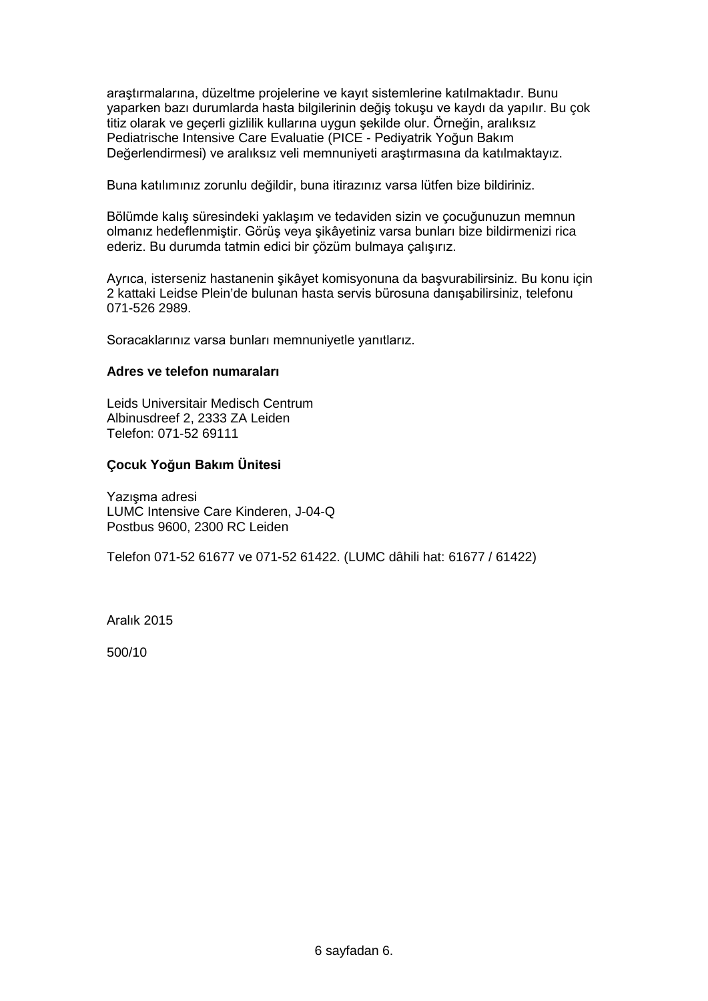araştırmalarına, düzeltme projelerine ve kayıt sistemlerine katılmaktadır. Bunu yaparken bazı durumlarda hasta bilgilerinin değiş tokuşu ve kaydı da yapılır. Bu çok titiz olarak ve geçerli gizlilik kullarına uygun şekilde olur. Örneğin, aralıksız Pediatrische Intensive Care Evaluatie (PICE - Pediyatrik Yoğun Bakım Değerlendirmesi) ve aralıksız veli memnuniyeti araştırmasına da katılmaktayız.

Buna katılımınız zorunlu değildir, buna itirazınız varsa lütfen bize bildiriniz.

Bölümde kalış süresindeki yaklaşım ve tedaviden sizin ve çocuğunuzun memnun olmanız hedeflenmiştir. Görüş veya şikâyetiniz varsa bunları bize bildirmenizi rica ederiz. Bu durumda tatmin edici bir çözüm bulmaya çalışırız.

Ayrıca, isterseniz hastanenin şikâyet komisyonuna da başvurabilirsiniz. Bu konu için 2 kattaki Leidse Plein'de bulunan hasta servis bürosuna danışabilirsiniz, telefonu 071-526 2989.

Soracaklarınız varsa bunları memnuniyetle yanıtlarız.

#### **Adres ve telefon numaraları**

Leids Universitair Medisch Centrum Albinusdreef 2, 2333 ZA Leiden Telefon: 071-52 69111

## **Çocuk Yoğun Bakım Ünitesi**

Yazışma adresi LUMC Intensive Care Kinderen, J-04-Q Postbus 9600, 2300 RC Leiden

Telefon 071-52 61677 ve 071-52 61422. (LUMC dâhili hat: 61677 / 61422)

Aralık 2015

500/10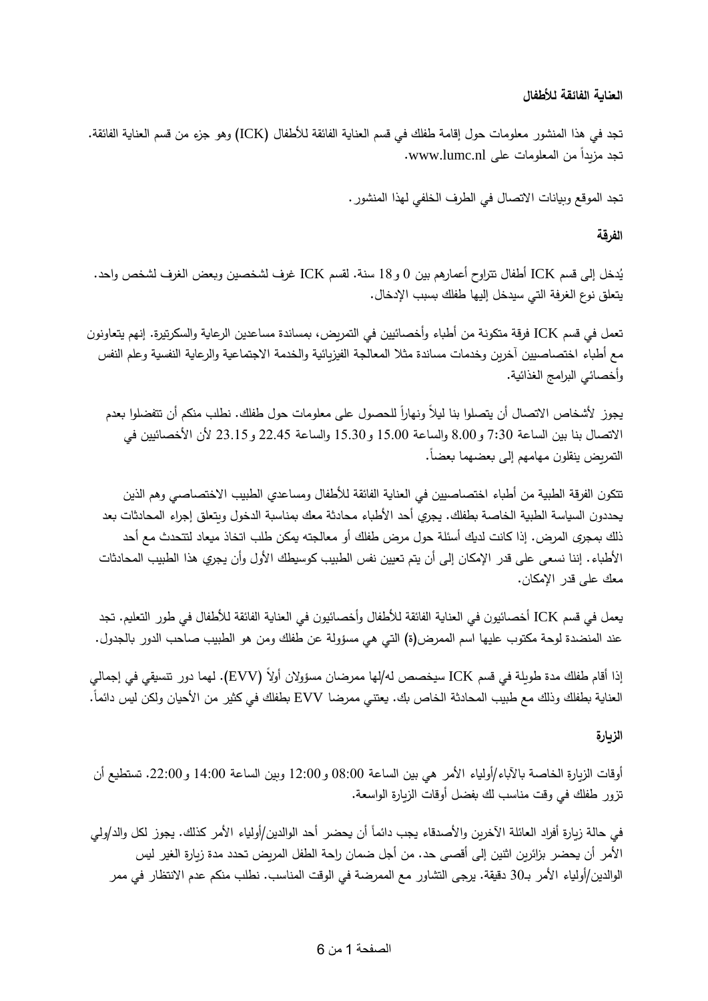# **العناية الفائقة لألطفال**

تجد في هذا المنشور معلومات حول إقامة طفلك في قسم العناية الفائقة لألطفال )ICK )وهو جزء من قسم العناية الفائقة. تجد مزيدا nl.lumc.www. ً من المعلومات على

تجد الموقع وبيانات االتصال في الطرف الخلفي لهذا المنشور.

# **الفرقة**

يُدخل إلى قسم ICK أطفال تتراوح أعمارهم بين 0 و 18 سنة. لقسم ICK غرف لشخصين وبعض الغرف لشخص واحد.<br>-يتعلق نوع الغرفة التي سيدخل إليها طفلك بسبب اإلدخال.

تعمل في قسم ICK فرقة متكونة من أطباء وأخصائيين في التمريض، بمساندة مساعدين الرعاية والسكرتيرة. إنهم يتعاونون مع أطباء اختصاصيين آخرين وخدمات مساندة مثال المعالجة الفيزيائية والخدمة االجتماعية والرعاية النفسية و علم النفس و أخصائي البرامج الغذائية.

يجوز لأشخاص الاتصال أن يتصلوا بنا ليلاً ونهاراً للحصول على معلومات حول طفلك. نطلب منكم أن تتفضلوا بعدم االتصال بنا بين الساعة 7:30 و8.00 والساعة 15.00 و15.30 والساعة 22.45 و23.15 ألن األخصائيين في التمريض ينقلون مهامهم إلى بعضهما بعضاً.

تتكون الفرقة الطبية من أطباء اختصاصيين في العناية الفائقة لألطفال ومساعدي الطبيب االختصاصي و هم الذين يحددون السياسة الطبية الخاصة بطفلك. يجري أحد األطباء محادثة معك بمناسبة الدخول ويتعلق إجراء المحادثات بعد ذلك بمجرى المرض. إذا كانت لديك أسئلة حول مرض طفلك أو معالجته يمكن طلب اتخاذ ميعاد لتتحدث مع أحد األطباء. إننا نسعى على قدر اإلمكان إلى أن يتم تعيين نفس الطبيب كوسيطك األول وأن يجري هذا الطبيب المحادثات معك على قدر اإلمكان.

يعمل في قسم ICK أخصائيون في العناية الفائقة لألطفال وأخصائيون في العناية الفائقة لألطفال في طور التعليم. تجد عند المنضدة لوحة مكتوب عليها اسم الممرض)ة( التي هي مسؤولة عن طفلك ومن هو الطبيب صاحب الدور بالجدول.

إذا أقام طفلك مدة طويلة في قسم ICK سيخصص له/لها ممرضان مسؤولان أولاً (EVV). لهما دور تتسيقي في إجمالي العناية بطفلك وذلك مع طبيب المحادثة الخاص بك. يعتني ممرضا EVV بطفلك في كثير من الأحيان ولكن ليس دائماً.

## **الزيارة**

أوقات الزيارة الخاصة بالآباء/أولياء الأمر هي بين الساعة 08:00 و12:00 وبين الساعة 14:00 و22:00. تستطيع أن تزور طفلك في وقت مناسب لك بفضل أوقات الزيارة الواسعة.

في حالة زيارة أفراد العائلة الآخرين والأصدقاء يجب دائماً أن يحضر أحد الوالدين/أولياء الأمر كذلك. يجوز لكل والد/ولي األمر أن يحضر بزائرين اثنين إلى أقصى حد. من أجل ضمان راحة الطفل المريض تحدد مدة زيارة الغير ليس الوالدين/أولياء الأمر بـ30 دقيقة. يرجى التشاور مع الممرضة في الوقت المناسب. نطلب منكم عدم الانتظار في ممر

## الصفحة 1 من 6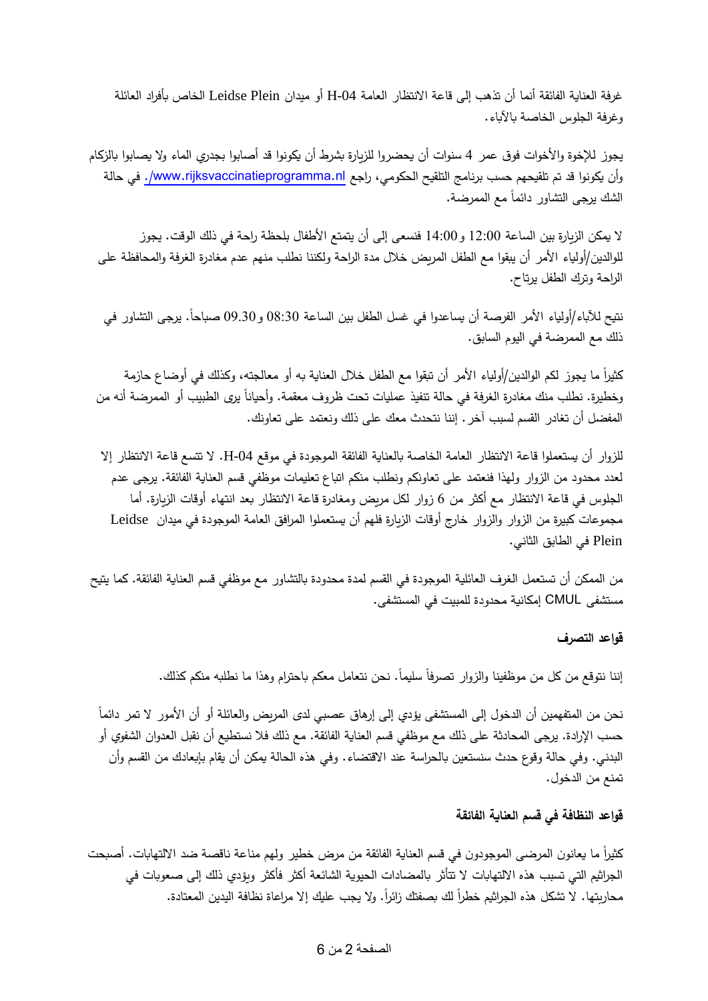غرفة العناية الفائقة أنما أن تذهب إلى قاعة االنتظار العامة -04H أو ميدان Plein Leidse الخاص بأفراد العائلة وغرفة الجلوس الخاصة باآلباء.

يجوز لإلخوة واألخوات فوق عمر 4 سنوات أن يحضروا للزيارة بشرط أن يكونوا قد أصابوا بجدري الماء وال يصابوا بالزكام وأن يكونوا قد تم تلقيحهم حسب برنامج التلقيح الحكومي، راجع www.rijksvaccinatieprogramma.nl/. في حالة الشك يرجى التشاور دائما مع الممرضة.

ال يمكن الزيارة بين الساعة 12:00 و14:00 فنسعى إلى أن يتمتع األطفال بلحظة راحة في ذلك الوقت. يجوز للوالدين/أولياء األمر أن يبقوا مع الطفل المريض خالل مدة الراحة ولكننا نطلب منهم عدم مغادرة الغرفة والمحافظة على الراحة وترك الطفل يرتاح.

نتيح للأباء/أولياء الأمر الفرصة أن يساعدوا في غسل الطفل بين الساعة 08:30 و09.30 صباحاً. يرجى التشاور في ذلك مع الممرضة في اليوم السابق.

كثيراً ما يجوز لكم الوالدين/أولياء الأمر أن تبقوا مع الطفل خلال العناية به أو معالجته، وكذلك في أوضاع حازمة رخطيرة. نطلب منك مغادرة الغرفة في حالة تنفيذ عمليات تحت ظروف معقمة. وأحياناً يرى الطبيب أو الممرضة أنه من المفضل أن تغادر القسم لسبب آخر. إننا نتحدث معك على ذلك ونعتمد على تعاونك.

للزوار أن يستعملوا قاعة االنتظار العامة الخاصة بالعناية الفائقة الموجودة في موقع -04H. ال تتسع قاعة االنتظار إال لعدد محدود من الزوار ولهذا فنعتمد على تعاونكم ونطلب منكم اتباع تعليمات موظفي قسم العناية الفائقة. يرجى عدم الجلوس في قاعة االنتظار مع أكثر من 6 زوار لكل مريض ومغادرة قاعة االنتظار بعد انتهاء أوقات الزيارة. أما مجموعات كبيرة من الزوار والزوار خارج أوقات الزيارة فلهم أن يستعملوا المرافق العامة الموجودة في ميدان Leidse Plein في الطابق الثاني.

من الممكن أن تستعمل الغرف العائلية الموجودة في القسم لمدة محدودة بالتشاور مع موظفي قسم العناية الفائقة. كما يتيح مستشفى LUMC إمكانية محدودة للمبيت في المستشفى.

**قواعد التصرف**

إننا نتوقع من كل من موظفينا والزوار تصرفا سليما. نحن نتعامل معكم باحترام وهذا ما نطلبه منكم كذلك.

ُحن من المتفهمين ان الدخول إلى المستشفى يؤدي إلى إرهاق عصبي لدى المريض والعائلة أو ان الأمور لا تمر دائما حسب اإلرادة. يرجى المحادثة على ذلك مع موظفي قسم العناية الفائقة. مع ذلك فال نستطيع أن نقبل العدوان الشفوي أو البدني. وفي حالة وقوع حدث سنستعين بالحراسة عند االقتضاء. وفي هذه الحالة يمكن أن يقام بإبعادك من القسم وأن تمنع من الدخول.

# **قواعد النظافة في قسم العناية الفائقة**

كثيراً ما يعانون المرضىي الموجودون في قسم العناية الفائقة من مرض خطير ولهم مناعة ناقصة ضد الالتهابات. أصبحت الجراثيم التي تسبب هذه االلتهابات ال تتأثر بالمضادات الحيوية الشائعة أكثر فأكثر ويؤدي ذلك إلى صعوبات في محاربتها. لا تشكل هذه الجراثيم خطراً لك بصفتك زائراً. ولا يجب عليك إلا مراعاة نظافة اليدين المعتادة.

## الصفحة 2 من 6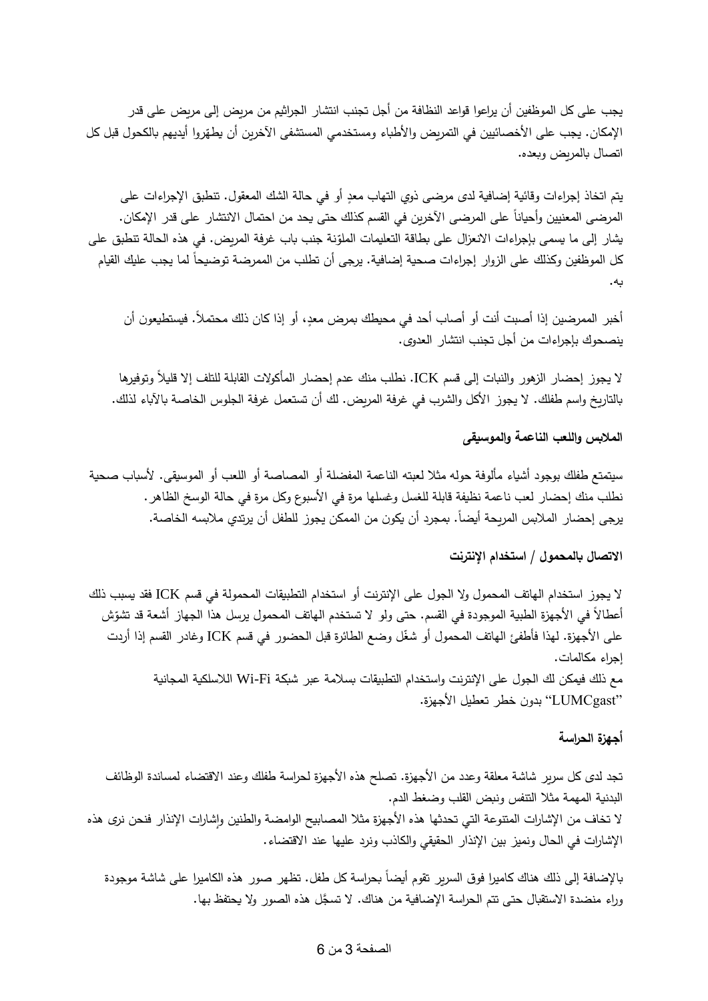يجب على كل الموظفين أن يراعوا قواعد النظافة من أجل تجنب انتشار الجراثيم من مريض إلى مريض على قدر الإمكان. يجب على الاخصائيين في التمريض والاطباء ومستخدمي المستشفى الاخرين ان يطهّروا ايديهم بالكحول قبل كل اتصال بالمريض وبعده.

بتم اتخاذ إجراءات وقائية إضافية لدى مرضى ذوي التهاب معدٍ أو في حالة الشك المعقول. تنطبق الإجراءات على المرضىي المعنيين واحيانا على المرضىي الاخرين في القسم كذلك حتى يحد من احتمال الانتشار على قدر الإمكان. يشار إلى ما يسمى بإجراءات الانعزال على بطاقة التعليمات الملوّنة جنب باب غرفة المريض. في هذه الحالة تنطبق على كل الموظفين وكذلك على الزوار إجراءات صحية إضافية. يرجى ان تطلب من الممرضة توضيحا لما يجب عليك القيام به.

أخبر الممرضين إذا أصبت أنت أو أصاب أحد في محيطك بمرض معدٍ، أو إذا كان ذلك محتملاً. فيستطيعون أن ينصحوك بإجراءات من أجل تجنب انتشار العدوى.

ال يجوز إحضار الزهور والنبات إلى قسم ICK. نطلب منك عدم إحضار المأكوالت القابلة للتلف إال قليالً وتوفيرها بالتاريخ واسم طفلك. ال يجوز األكل والشرب في غرفة المريض. لك أن تستعمل غرفة الجلوس الخاصة باآلباء لذلك.

# **المالبس واللعب الناعمة والموسيقى**

سيتمتع طفلك بوجود أشياء مألوفة حوله مثال لعبته الناعمة المفضلة أو المصاصة أو اللعب أو الموسيقى. ألسباب صحية نطلب منك إحضار لعب ناعمة نظيفة قابلة للغسل وغسلها مرة في الأسبوع وكل مرة في حالة الوسخ الظاهر . يرجى إحضار الملابس المريحة أيضاً. بمجرد أن يكون من الممكن يجوز للطفل أن يرتدى ملابسه الخاصة.

### **االتصال بالمحمول / استخدام اإلنترنت**

ال يجوز استخدام الهاتف المحمول وال الجول على اإلنترنت أو استخدام التطبيقات المحمولة في قسم ICK فقد يسبب ذلك اعطالا في الأجهزة الطبية الموجودة في القسم. حتى ولو لا تستخدم الـهاتف المحمول يرسل هذا الجهاز اشعة قد تشوّش<br>. على األجهزة. لهذا فأطفئ الهاتف المحمول أو شّغل وضع الطائرة قبل الحضور في قسم ICK وغادر القسم إذا أردت إجراء مكالمات. مع ذلك فيمكن لك الجول على اإلنترنت واستخدام التطبيقات بسالمة عبر شبكة Fi-Wi الالسلكية المجانية

"LUMCgast" بدون خطر تعطيل الأجهزة.

### **أجهزة الحراسة**

تجد لدى كل سرير شاشة معلقة وعدد من الأجهزة. تصلح هذه الأجهزة لحراسة طفلك وعند الاقتضاء لمساندة الوظائف البدنية المهمة مثال التنفس ونبض القلب وضغط الدم. لا تخاف من الإشارات المتنوعة التي تحدثها هذه الأجهزة مثلا المصابيح الوامضة والطنين وإشارات الإنذار فنحن نرى هذه اإلشارات في الحال ونميز بين اإلنذار الحقيقي والكاذب ونرد عليها عند االقتضاء.

بالإضافة إلى ذلك هناك كاميرا فوق السرير تقوم أيضاً بحراسة كل طفل. تظهر صور هذه الكاميرا على شاشة موجودة وراء منضدة الاستقبال حتى تتم الحراسة الإضافية من هناك. لا تسجَّل هذه الصور ولا يحتفظ بها.

### الصفحة 3 من 6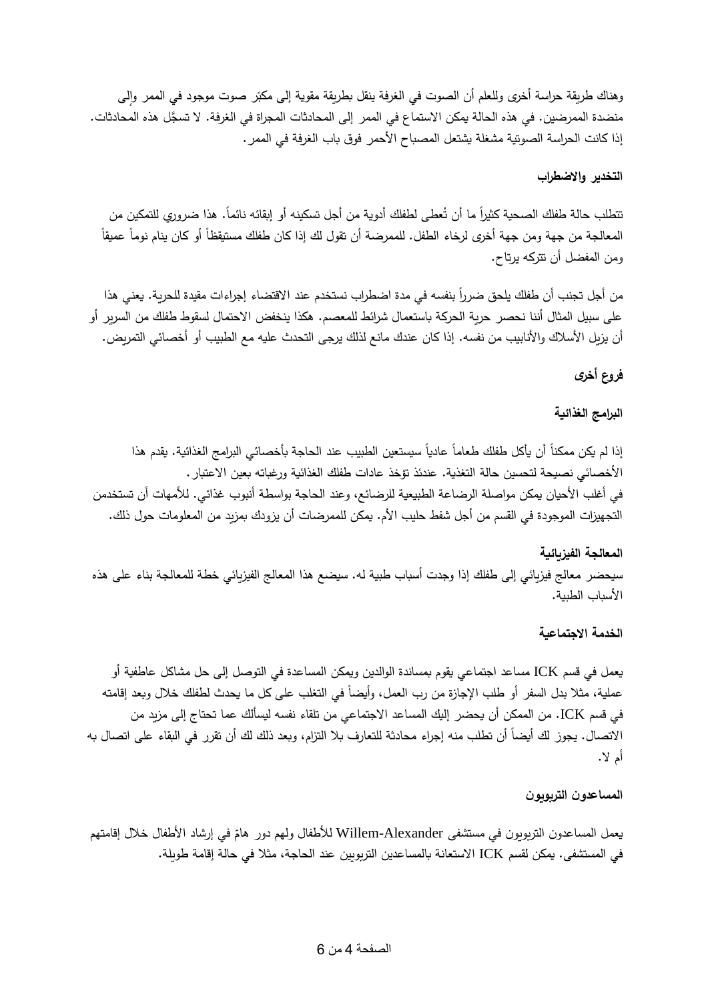<sub>و</sub>هناك طريقة حراسة اخرى وللعلم ان الصوت في الغرفة ينقل بطريقة مقوية إلى مكبّر صوت موجود في الممر وإلى  $\frac{1}{2}$ منضدة الممرضين. في هذه الحالة يمكن الاستماع في الممر إلى المحادثات المجراة في الغرفة. لا تسجَّل هذه المحادثات. إذا كانت الحراسة الصوتية مشغلة يشتعل المصباح الأحمر فوق باب الغرفة في الممر .

# **التخدير واالضطراب**

تتطلب حالة طفلك الصحية كثيرا ما ان تُعطى لطفلك ادوية من اجل تسكينه او إبقائه نائما. هذا ضروري للتمكين من المعالجة من جهة ومن جهة أخرى لرخاء الطفل. للممرضة أن تقول لك إذا كان طفلك مستيقظا أو كان ينام نوما عميقا ومن المفضل أن تتركه يرتاح.

من أجل تجنب أن طفلك يلحق ضرراً بنفسه في مدة اضطراب نستخدم عند الاقتضاء إجراءات مقيدة للحرية. يعني هذا على سبيل المثال أننا نحصر حرية الحركة باستعمال شرائط للمعصم. هكذا ينخفض االحتمال لسقوط طفلك من السرير أو أن يزيل الأسلاك والأنابيب من نفسه. إذا كان عندك مانع لذلك يرجى التحدث عليه مع الطبيب أو أخصائي التمريض.

# **فروع أخرى**

## **البرامج الغذائية**

إذا لم يكن ممكنا أن ياكل طفلك طعاما عاديا سيستعين الطبيب عند الحاجة باخصائي البرامج الغذائية. يقدم هذا األخصائي نصيحة لتحسين حالة التغذية. عندئذ تؤخذ عادات طفلك الغذائية ورغباته بعين االعتبار. في أغلب الأحيان يمكن مواصلة الرضاعة الطبيعية للرضائع، وعند الحاجة بواسطة أنبوب غذائي. للأمهات أن تستخدمن التجهيزات الموجودة في القسم من أجل شفط حليب الأم. يمكن للممرضات أن يزودك بمزيد من المعلومات حول ذلك.

# **المعالجة الفيزيائية** سيحضر معالج فيزيائي إلى طفلك إذا وجدت أسباب طبية له. سيضع هذا المعالج الفيزيائي خطة للمعالجة بناء على هذه الأسباب الطبية.

# **الخدمة االجتماعية**

يعمل في قسم ICK مساعد اجتماعي يقوم بمساندة الوالدين ويمكن المساعدة في التوصل إلى حل مشاكل عاطفية أو عملية، مثلا بدل السفر أو طلب الإجازة من رب العمل، وأيضاً في التغلب على كل ما يحدث لطفلك خلال وبعد إقامته في قسم ICK. من الممكن أن يحضر إليك المساعد االجتماعي من تلقاء نفسه ليسألك عما تحتاج إلى مزيد من الاتصال. يجوز لك أيضا أن تطلب منه إجراء محادثة للتعارف بلا التزام، وبعد ذلك لك أن تقرر في البقاء على اتصال به أم ال.

## **المساعدون التربويون**

يعمل المساعدون التربويون في مستشفى Willem-Alexander للأطفال ولمهم دور هامّ في إرشاد الأطفال خلال إقامتهم في المستشفى. يمكن لقسم ICK االستعانة بالمساعدين التربويين عند الحاجة، مثال في حالة إقامة طويلة.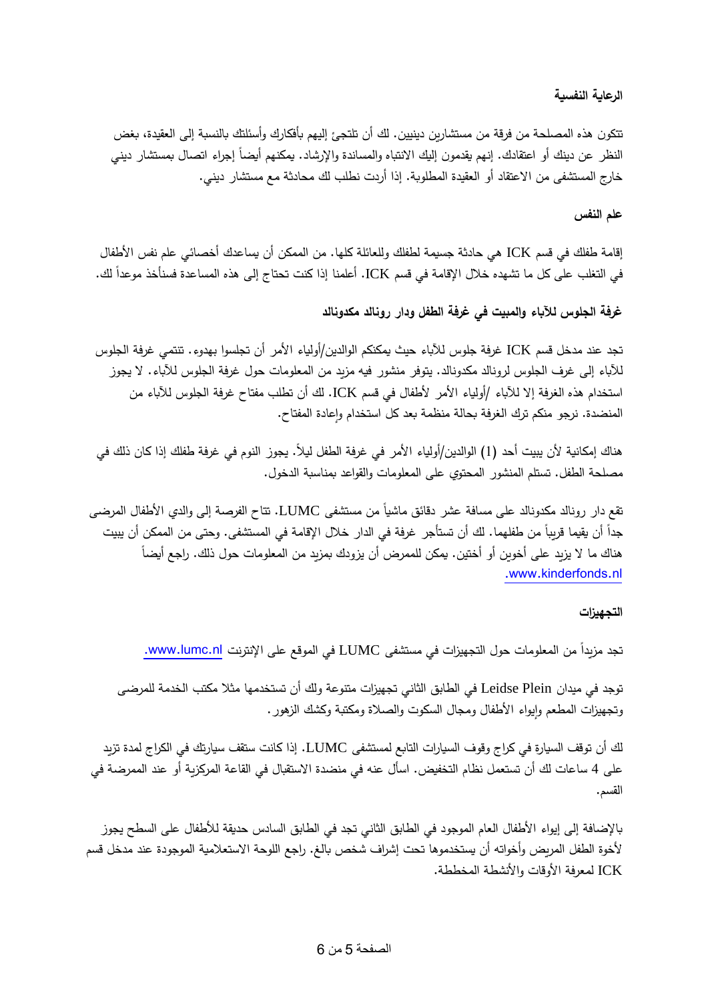# **الرعاية النفسية**

تتكون هذه المصلحة من فرقة من مستشارين دينيين. لك أن تلتجئ إليهم بأفكارك وأسئلتك بالنسبة إلى العقيدة، بغض النظر عن دينك أو اعتقادك. إنهم يقدمون إليك الانتباه والمساندة والإرشاد. يمكنهم أيضـاً إجراء اتصـال بمستشار دينـي خارج المستشفى من الاعتقاد أو العقيدة المطلوبة. إذا أردت نطلب لك محادثة مع مستشار ديني.

# **علم النفس**

إقامة طفلك في قسم ICK هي حادثة جسيمة لطفلك وللعائلة كلها. من الممكن أن يساعدك أخصائي علم نفس األطفال في التغلب على كل ما تشهده خلال الإقامة في قسم ICK. أعلمنا إذا كنت تحتاج إلى هذه المساعدة فسنأخذ موعداً لك.

**غرفة الجلوس لآلباء والمبيت في غرفة الطفل ودار رونالد مكدونالد**

تجد عند مدخل قسم ICK غرفة جلوس لآلباء حيث يمكنكم الوالدين/أولياء األمر أن تجلسوا بهدوء. تنتمي غرفة الجلوس لآلباء إلى غرف الجلوس لرونالد مكدونالد. يتوفر منشور فيه مزيد من المعلومات حول غرفة الجلوس لآلباء. ال يجوز استخدام هذه الغرفة إلا للآباء /أولياء الأمر لأطفال في قسم ICK. لك أن تطلب مفتاح غرفة الجلوس للآباء من المنضدة. نرجو منكم ترك الغرفة بحالة منظمة بعد كل استخدام وإعادة المفتاح.

هناك إمكانية لأن يبيت أحد (1) الوالدين/أولياء الأمر في غرفة الطفل ليلاً. يجوز النوم في غرفة طفلك إذا كان ذلك في مصلحة الطفل. تستلم المنشور المحتوي على المعلومات والقواعد بمناسبة الدخول.

تقع دار رونالد مكدونالد على مسافة عشر دقائق ماشياً من مستشفى LUMC. تتاح الفرصـة إلـى والدي الأطفال المرضـى جدا أن يقيما قريبا من طفلهما. لك أن تستأجر غرفة في الدار خلال الإقامة في المستشفى. وحتى من الممكن أن يبيت هناك ما لا يزيد على أخوين أو أختين. يمكن للممرض أن يزودك بمزيد من المعلومات حول ذلك. راجع أيضاً .www.kinderfonds.nl

## **التجهيزات**

تجد مزيداً من المعلومات حول التجهيزات في مستشفى LUMC في الموقع على الإنترنت www.lumc.nl.

توجد في ميدان Plein Leidse في الطابق الثاني تجهيزات متنوعة و لك أن تستخدمها مثال مكتب الخدمة للمرضى رتجهيزات المطعم وإيواء الأطفال ومجال السكوت والصلاة ومكتبة وكشك الزهور . )<br>F

لك أن توقف السيارة في كراج وقوف السيارات التابع لمستشفى LUMC. إذا كانت ستقف سيارتك في الكراج لمدة تزيد على 4 ساعات لك أن تستعمل نظام التخفيض. اسأل عنه في منضدة االستقبال في القاعة المركزية أو عند الممرضة في القسم.

باإلضافة إلى إيواء األطفال العام الموجود في الطابق الثاني تجد في الطابق السادس حديقة لألطفال على السطح يجوز ألخوة الطفل المريض وأخواته أن يستخدموها تحت إشراف شخص بالغ. راجع اللوحة االستعالمية الموجودة عند مدخل قسم ICK لمعرفة األوقات واألنشطة المخططة.